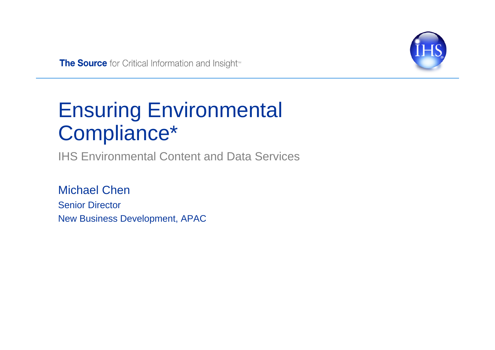

The Source for Critical Information and Insight<sup>®</sup>

# Ensuring Environmental Compliance\*

IHS Environmental Content and Data Services

Michael ChenSenior Director New Business Development, APAC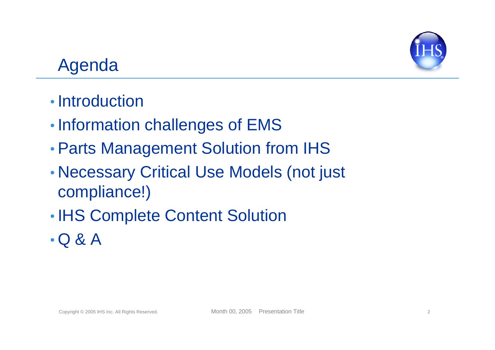

## Agenda

- Introduction
- •• Information challenges of EMS
- •Parts Management Solution from IHS
- • Necessary Critical Use Models (not just compliance!)
- •• IHS Complete Content Solution
- Q & A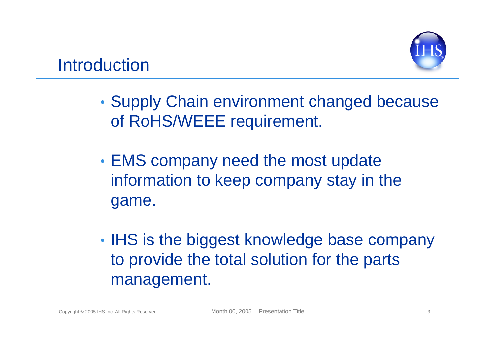- • Supply Chain environment changed because of RoHS/WEEE requirement.
- • EMS company need the most update information to keep company stay in the game.
- •• IHS is the biggest knowledge base company to provide the total solution for the parts management.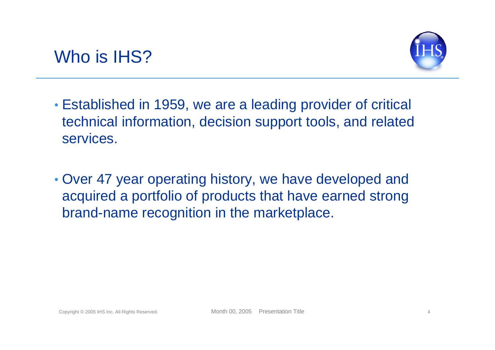



- Established in 1959, we are a leading provider of critical technical information, decision support tools, and related services.
- Over 47 year operating history, we have developed and acquired a portfolio of products that have earned strong brand-name recognition in the marketplace.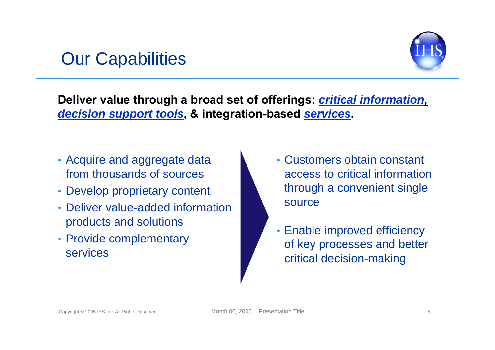#### Our Capabilities



**Deliver value through a broad set of offerings:** *critical information***,** *decision support tools***, & integration-based** *services***.**

- Acquire and aggregate data from thousands of sources
- Develop proprietary content
- Deliver value-added information products and solutions
- Provide complementary services
- Customers obtain constant access to critical information through a convenient single source
- Enable improved efficiency of key processes and better critical decision-making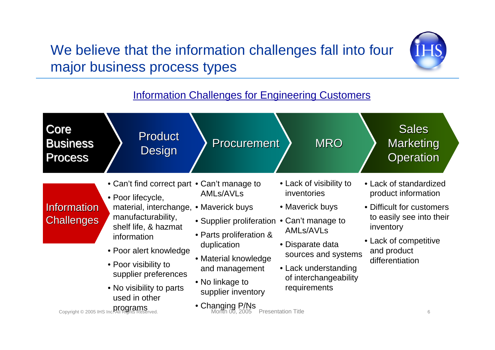#### We believe that the information challenges fall into four major business process types



#### Information Challenges for Engineering Customers

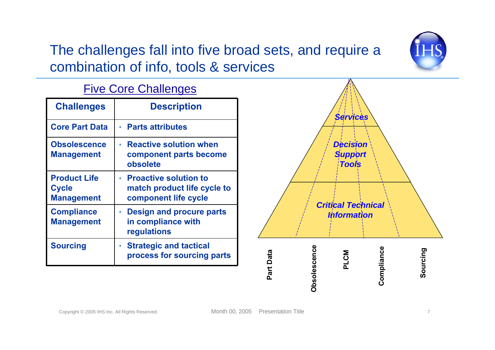#### The challenges fall into five broad sets, and require a combination of info, tools & services



Five Core Challenges

| <b>Challenges</b>                                        | <b>Description</b>                                                                |  |  |
|----------------------------------------------------------|-----------------------------------------------------------------------------------|--|--|
| <b>Core Part Data</b>                                    | • Parts attributes                                                                |  |  |
| <b>Obsolescence</b><br><b>Management</b>                 | <b>Reactive solution when</b><br>component parts become<br>obsolete               |  |  |
| <b>Product Life</b><br><b>Cycle</b><br><b>Management</b> | • Proactive solution to<br>match product life cycle to<br>component life cycle    |  |  |
| <b>Compliance</b><br><b>Management</b>                   | <b>Design and procure parts</b><br>$\bullet$<br>in compliance with<br>regulations |  |  |
| <b>Sourcing</b>                                          | • Strategic and tactical<br>process for sourcing parts                            |  |  |

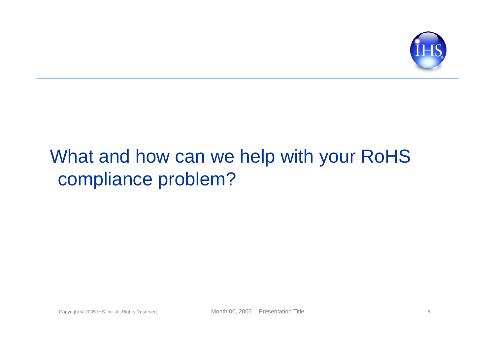

## What and how can we help with your RoHS compliance problem?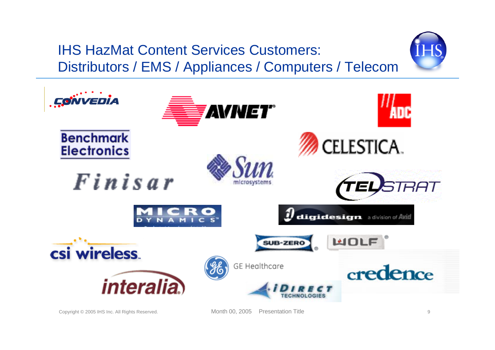#### IHS HazMat Content Services Customers: Distributors / EMS / Appliances / Computers / Telecom



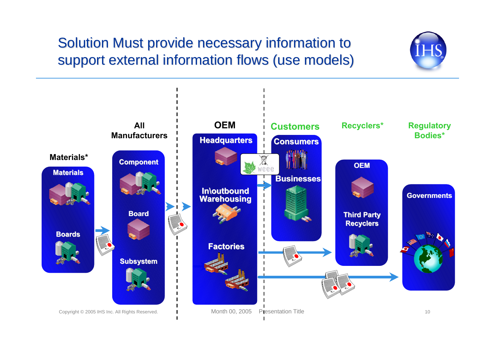#### Solution Must provide necessary information to Solution Must provide necessary information to support external information flows (use models) support external information flows (use models)

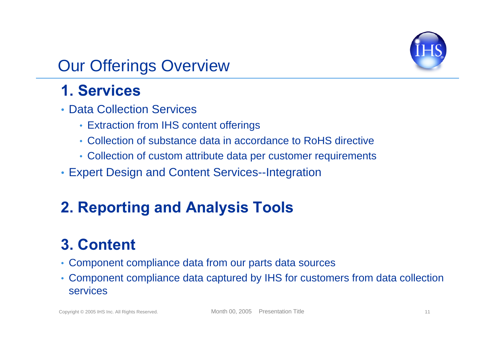

#### Our Offerings Overview

#### **1. Services**

- Data Collection Services
	- Extraction from IHS content offerings
	- Collection of substance data in accordance to RoHS directive
	- Collection of custom attribute data per customer requirements
- Expert Design and Content Services--Integration

#### **2. Reporting and Analysis Tools**

#### **3. Content**

- Component compliance data from our parts data sources
- Component compliance data captured by IHS for customers from data collection services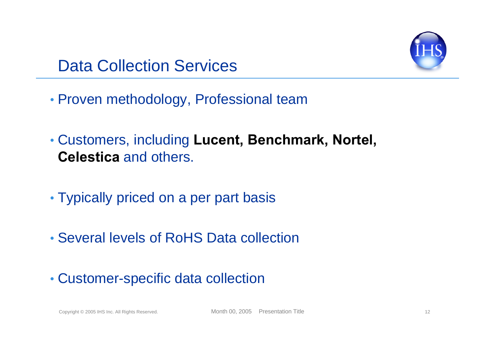

#### Data Collection Services

- Proven methodology, Professional team
- Customers, including **Lucent, Benchmark, Nortel, Celestica** and others.
- Typically priced on a per part basis
- Several levels of RoHS Data collection
- Customer-specific data collection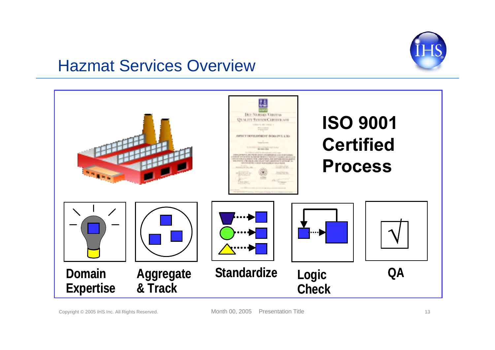

#### Hazmat Services Overview

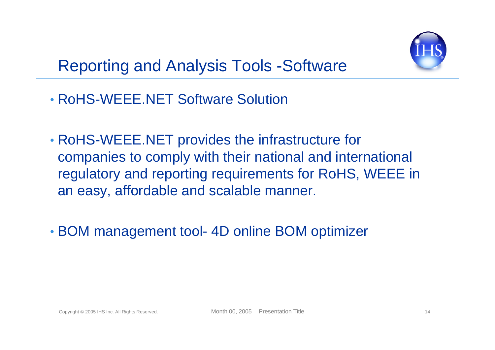

- RoHS-WEEE.NET Software Solution
- RoHS-WEEE.NET provides the infrastructure for companies to comply with their national and international regulatory and reporting requirements for RoHS, WEEE in an easy, affordable and scalable manner.
- BOM management tool- 4D online BOM optimizer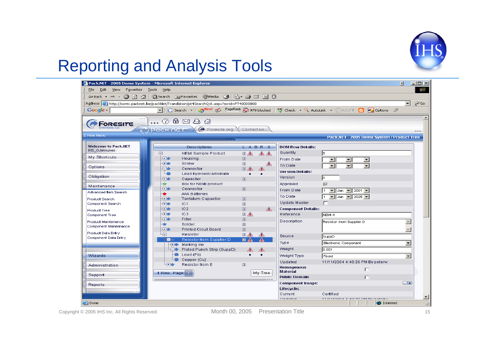

#### Reporting and Analysis Tools



Copyright © 2005 IHS Inc. All Rights Reserved. Month 00, 2005 Presentation Title 15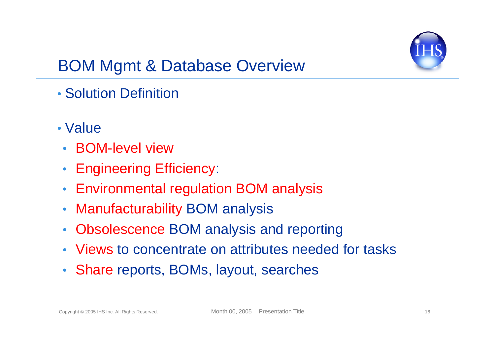

#### BOM Mgmt & Database Overview

- Solution Definition
- Value
- BOM-level view
- $\bullet$ Engineering Efficiency:
- Environmental regulation BOM analysis
- $\bullet$ Manufacturability BOM analysis
- Obsolescence BOM analysis and reporting
- Views to concentrate on attributes needed for tasks
- Share reports, BOMs, layout, searches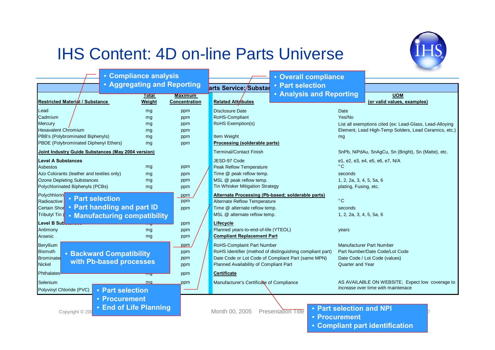#### IHS Content: 4D on-line Parts Universe



• **Compliant part identification**

|                                                    | • Compliance analysis           |                                |                                                   | • Overall compliance                                      |                          |                                                          |
|----------------------------------------------------|---------------------------------|--------------------------------|---------------------------------------------------|-----------------------------------------------------------|--------------------------|----------------------------------------------------------|
|                                                    | • Aggregating and Reporting     |                                | arts Service:/Substar                             | • Part selection                                          |                          |                                                          |
|                                                    | Total                           | <b>Maximum</b>                 |                                                   | <b>• Analysis and Reporting</b>                           |                          | <b>UOM</b>                                               |
| Restricted Material / Substance                    | Weight                          | Concentration                  | <b>Related Attributes</b>                         |                                                           |                          | (or valid values, examples)                              |
| Lead                                               | mg                              | ppm                            | Disclosure Date                                   |                                                           | Date                     |                                                          |
| Cadmium                                            | mg                              | ppm                            | RoHS-Compliant                                    |                                                           | Yes/No                   |                                                          |
| Mercury                                            | mg                              | ppm                            | RoHS Exemption(s)                                 |                                                           |                          | List all exemptions cited (ex: Lead-Glass, Lead-Alloying |
| <b>Hexavalent Chromium</b>                         | mg                              | ppm                            |                                                   |                                                           |                          | Element, Lead High-Temp Solders, Lead Ceramics, etc.)    |
| PBB's (Polybrominated Biphenyls)                   | mg                              | ppm                            | Item Weight                                       |                                                           | mg                       |                                                          |
| PBDE (Polybrominated Diphenyl Ethers)              | mg                              | ppm                            | Processing (solderable parts)                     |                                                           |                          |                                                          |
| Joint Industry Guide Substances (May 2004 version) |                                 | <b>Terminal/Contact Finish</b> |                                                   | SnPb, NiPdAu, SnAgCu, Sn (Bright), Sn (Matte), etc.       |                          |                                                          |
| <b>Level A Substances</b>                          |                                 |                                | JESD-97 Code                                      |                                                           |                          | e1, e2, e3, e4, e5, e6, e7, N/A                          |
| Asbestos                                           | mg                              | ppm                            | Peak Reflow Temperature                           |                                                           | $^{\circ}$ C             |                                                          |
| Azo Colorants (leather and textiles only)          | mg                              | ppm                            | Time @ peak reflow temp.                          |                                                           | seconds                  |                                                          |
| <b>Ozone Depleting Substances</b>                  | mg                              | ppm                            | MSL @ peak reflow temp.                           |                                                           | 1, 2, 2a, 3, 4, 5, 5a, 6 |                                                          |
| Polychlorinated Biphenyls (PCBs)                   | mg                              | ppm                            | Tin Whisker Mitigation Strategy                   |                                                           | plating, Fusing, etc.    |                                                          |
| Polychhlorin<br>• Part selection                   |                                 | ppm                            | Alternate Processing (Pb-based; solderable parts) |                                                           |                          |                                                          |
| Radioactive                                        |                                 | ppm                            | Alternate Reflow Temperature                      |                                                           | $^{\circ}$ C             |                                                          |
| Certain Shor                                       | • Part handling and part ID     | ppm                            | Time @ alternate reflow temp.                     |                                                           | seconds                  |                                                          |
| <b>Tributyl Tin</b>                                | • Manufacturing compatibility   |                                | MSL @ alternate reflow temp.                      |                                                           | 1, 2, 2a, 3, 4, 5, 5a, 6 |                                                          |
| Level B Sub <del>ernness</del>                     |                                 | ppm                            | Lifecycle                                         |                                                           |                          |                                                          |
| Antimony                                           | mg                              | ppm                            | Planned years-to-end-of-life (YTEOL)              |                                                           | years                    |                                                          |
| Arsenic                                            | mg                              | ppm                            | <b>Compliant Replacement Part</b>                 |                                                           |                          |                                                          |
| <b>Beryllium</b>                                   |                                 | ppm                            | RoHS-Complaint Part Number                        |                                                           |                          | <b>Manufacturer Part Number</b>                          |
| <b>Bismuth</b>                                     |                                 | ppm                            |                                                   | RoHS Identifier (method of distinguishing compliant part) |                          | Part Number/Date Code/Lot Code                           |
| <b>Brominate</b>                                   | <b>• Backward Compatibility</b> | ppm                            |                                                   | Date Code or Lot Code of Compliant Part (same MPN)        |                          | Date Code / Lot Code (values)                            |
| <b>Nickel</b>                                      | with Pb-based processes         | ppm                            | Planned Availability of Compliant Part            |                                                           | Quarter and Year         |                                                          |
| Phthalates                                         | प्ताप्र                         | ppm                            | <b>Certificate</b>                                |                                                           |                          |                                                          |
| Selenium                                           | ma                              | ppm                            | Manufacturer's Certificate of Compliance          |                                                           |                          | AS AVAILABLE ON WEBSITE; Expect low coverage to          |
| Polyvinyl Chloride (PVC)                           | • Part selection                |                                |                                                   |                                                           |                          | increase over time with maintenace                       |
|                                                    | • Procurement                   |                                |                                                   |                                                           |                          |                                                          |
|                                                    | • End of Life Planning          |                                |                                                   |                                                           |                          |                                                          |
| Copyright © 20                                     |                                 |                                | Month 00, 2005                                    | <b>Presentation Title</b>                                 | • Part selection and NPI |                                                          |
|                                                    |                                 |                                |                                                   | • Procurement                                             |                          |                                                          |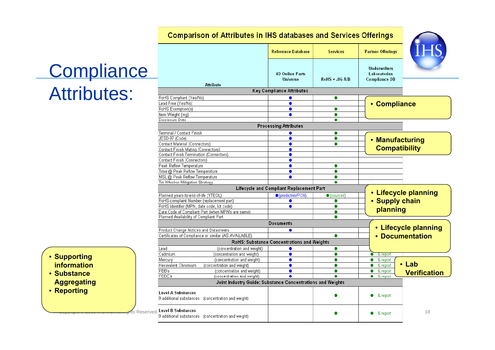#### **Comparison of Attributes in IHS databases and Services Offerings**

**Reference Database** 

**Services** 

**Partner Offerings** 



## **Compliance** Attributes:

- **Underwriters 4D Online Parts** Laboratories **Universe**  $RoHS + JIG A/B$ **Compliance DB Attribute Key Compliance Attributes** RoHS Compliant (Yes/No)  $\bullet$  $\bullet$ Lead Free (Yes/No)  $\bullet$ • **Compliance** RoHS Exemption(s)  $\bullet$  $\bullet$ Item Weight (mg)  $\bullet$ ۰ Disclosure Date ۰ **Processing Attributes** Terminal / Contact Finish  $\bullet$ ۰ JESD-97 (Code)  $\bullet$  $\bullet$ • **Manufacturing**  Contact Material (Connectors)  $\bullet$ ۰ **Compatibility** Contact Finish Mating (Connectors)  $\bullet$ Contact Finish Termination (Connectors)  $\bullet$ Contact Finish (Connectors)  $\bullet$ Peak Reflow Temperature  $\bullet$ ۰ Time @ Peak Reflow Temperature  $\bullet$ ٠ MSL @ Peak Reflow Temperature  $\bullet$  $\bullet$ Tin Whisker Mitigation Strategy ۰ Lifecycle and Compliant Replacement Part • **Lifecycle planning** Planned vears-to-end-of-life (YTEOL) ● (predictive/PCN)  $\bullet$  (sourced) RoHS-complaint Number (replacement part)  $\bullet$ ۰ • **Supply chain**  RoHS Identifier (MPN, date code, lot code)  $\bullet$  $\bullet$ **planning** Date Code of Compliant Part (when MPN's are same) ۰ Planned Availability of Compliant Part  $\bullet$ Documents • **Lifecycle planning** Product Change Notices and Datasheets  $\bullet$ Certificates of Compliance or similar (AS AVAILABLE)  $\bullet$ • **Documentation**RoHS: Substance Concentrations and Weights Lead (concentration and weight)  $\bullet$  $\bullet$ Cadmium (concentration and weight)  $\bullet$ ۰  $\bullet$  & report Mercurv (concentration and weight)  $\bullet$ ٠  $\bullet$  & report • **Lab**  Hexavalent Chromium (concentration and weight)  $\bullet$  $\bullet$  $\bullet$ & report PBB's (concentration and weight)  $\bullet$  $\bullet$ ۰ & report **Verification**PBDE's (concentration and weight)  $\blacksquare$  $\blacksquare$  $\bullet$  & report Joint Industry Guide: Substance Concentrations and Weights **Level A Substances** ۰ & report 9 additional substances (concentration and weight) <del>Copyright © 2006 IHS Inc. All Rig</del>rits Reserved. Level B Substances the communication Title inc. All reserved. Level B Substances the communication Title inc. All reserved. Level B Substances
- **Supporting information**
- **Substance Aggregating**
- **Reporting**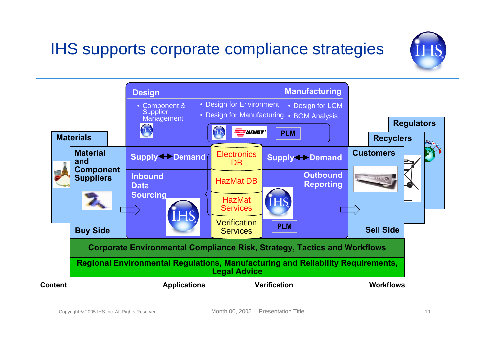## IHS supports corporate compliance strategies



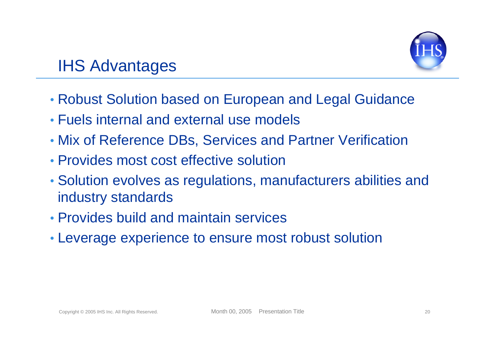

#### IHS Advantages

- Robust Solution based on European and Legal Guidance
- Fuels internal and external use models
- Mix of Reference DBs, Services and Partner Verification
- Provides most cost effective solution
- Solution evolves as regulations, manufacturers abilities and industry standards
- Provides build and maintain services
- Leverage experience to ensure most robust solution